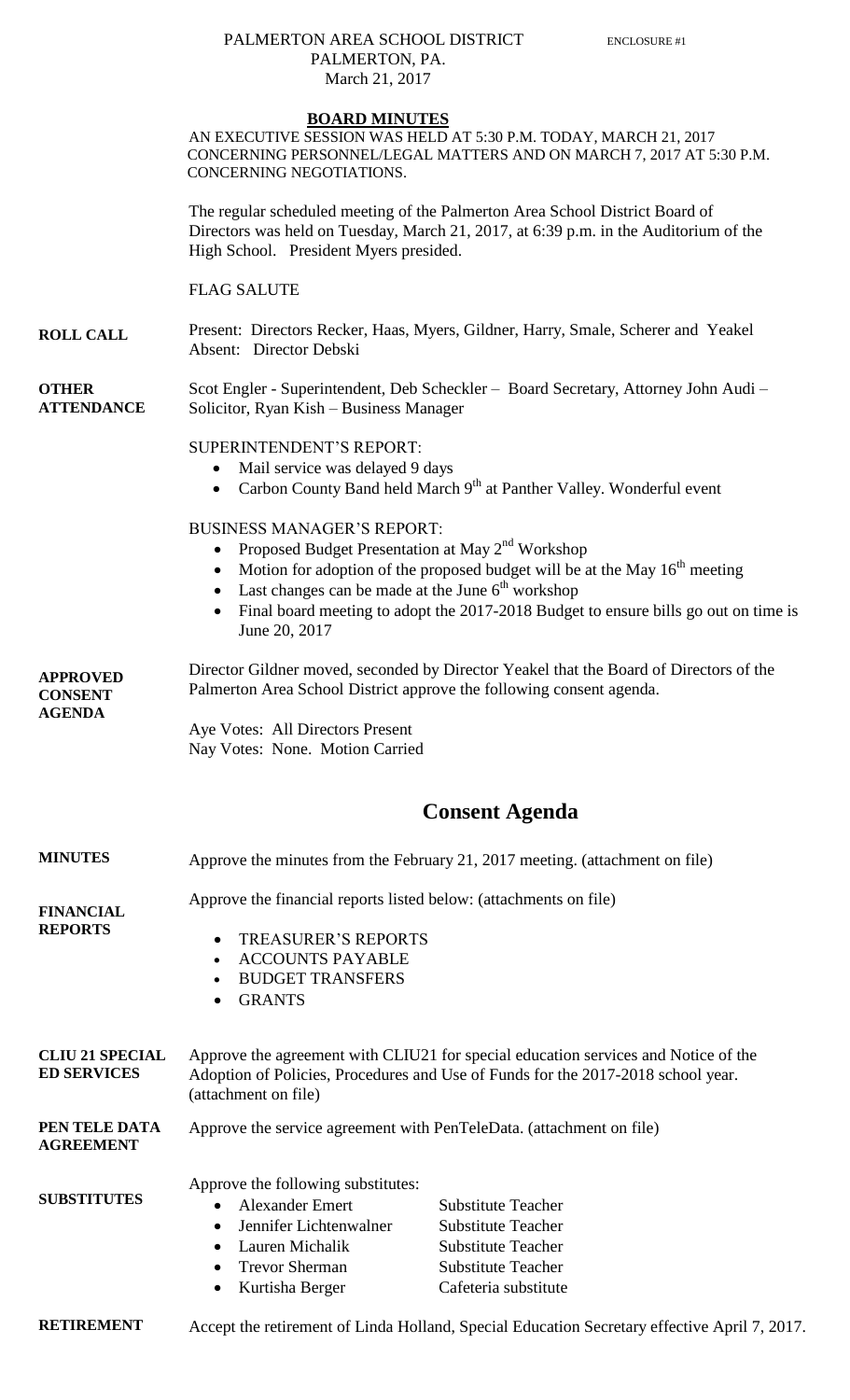## PALMERTON AREA SCHOOL DISTRICT ENCLOSURE #1 PALMERTON, PA.

|                                                    | March 21, 2017                                                                                                                                                                                                   |                                                                                                                                                                      |
|----------------------------------------------------|------------------------------------------------------------------------------------------------------------------------------------------------------------------------------------------------------------------|----------------------------------------------------------------------------------------------------------------------------------------------------------------------|
|                                                    | <b>BOARD MINUTES</b><br>CONCERNING NEGOTIATIONS.                                                                                                                                                                 | AN EXECUTIVE SESSION WAS HELD AT 5:30 P.M. TODAY, MARCH 21, 2017<br>CONCERNING PERSONNEL/LEGAL MATTERS AND ON MARCH 7, 2017 AT 5:30 P.M.                             |
|                                                    | High School. President Myers presided.                                                                                                                                                                           | The regular scheduled meeting of the Palmerton Area School District Board of<br>Directors was held on Tuesday, March 21, 2017, at 6:39 p.m. in the Auditorium of the |
|                                                    | <b>FLAG SALUTE</b>                                                                                                                                                                                               |                                                                                                                                                                      |
| <b>ROLL CALL</b>                                   | Absent: Director Debski                                                                                                                                                                                          | Present: Directors Recker, Haas, Myers, Gildner, Harry, Smale, Scherer and Yeakel                                                                                    |
| <b>OTHER</b><br><b>ATTENDANCE</b>                  | Solicitor, Ryan Kish - Business Manager                                                                                                                                                                          | Scot Engler - Superintendent, Deb Scheckler - Board Secretary, Attorney John Audi -                                                                                  |
|                                                    | SUPERINTENDENT'S REPORT:<br>Mail service was delayed 9 days<br>$\bullet$<br>$\bullet$                                                                                                                            | Carbon County Band held March 9 <sup>th</sup> at Panther Valley. Wonderful event                                                                                     |
|                                                    | <b>BUSINESS MANAGER'S REPORT:</b><br>Proposed Budget Presentation at May 2 <sup>nd</sup> Workshop<br>$\bullet$<br>$\bullet$<br>Last changes can be made at the June $6th$ workshop<br>$\bullet$<br>June 20, 2017 | Motion for adoption of the proposed budget will be at the May $16th$ meeting<br>Final board meeting to adopt the 2017-2018 Budget to ensure bills go out on time is  |
| <b>APPROVED</b><br><b>CONSENT</b><br><b>AGENDA</b> | Director Gildner moved, seconded by Director Yeakel that the Board of Directors of the<br>Palmerton Area School District approve the following consent agenda.                                                   |                                                                                                                                                                      |
|                                                    | Aye Votes: All Directors Present<br>Nay Votes: None. Motion Carried                                                                                                                                              |                                                                                                                                                                      |
|                                                    |                                                                                                                                                                                                                  | <b>Consent Agenda</b>                                                                                                                                                |
| <b>MINUTES</b>                                     | Approve the minutes from the February 21, 2017 meeting. (attachment on file)                                                                                                                                     |                                                                                                                                                                      |
| <b>FINANCIAL</b>                                   | Approve the financial reports listed below: (attachments on file)                                                                                                                                                |                                                                                                                                                                      |
| <b>REPORTS</b>                                     | <b>TREASURER'S REPORTS</b><br>$\bullet$<br><b>ACCOUNTS PAYABLE</b><br>$\bullet$<br><b>BUDGET TRANSFERS</b><br><b>GRANTS</b>                                                                                      |                                                                                                                                                                      |
| <b>CLIU 21 SPECIAL</b><br><b>ED SERVICES</b>       | Approve the agreement with CLIU21 for special education services and Notice of the<br>Adoption of Policies, Procedures and Use of Funds for the 2017-2018 school year.<br>(attachment on file)                   |                                                                                                                                                                      |
| PEN TELE DATA<br><b>AGREEMENT</b>                  | Approve the service agreement with PenTeleData. (attachment on file)                                                                                                                                             |                                                                                                                                                                      |
| <b>SUBSTITUTES</b>                                 | Approve the following substitutes:<br><b>Alexander Emert</b><br>$\bullet$<br>Jennifer Lichtenwalner<br>$\bullet$<br>Lauren Michalik<br><b>Trevor Sherman</b>                                                     | <b>Substitute Teacher</b><br><b>Substitute Teacher</b><br><b>Substitute Teacher</b><br><b>Substitute Teacher</b>                                                     |

- - Kurtisha Berger Cafeteria substitute

**RETIREMENT** Accept the retirement of Linda Holland, Special Education Secretary effective April 7, 2017.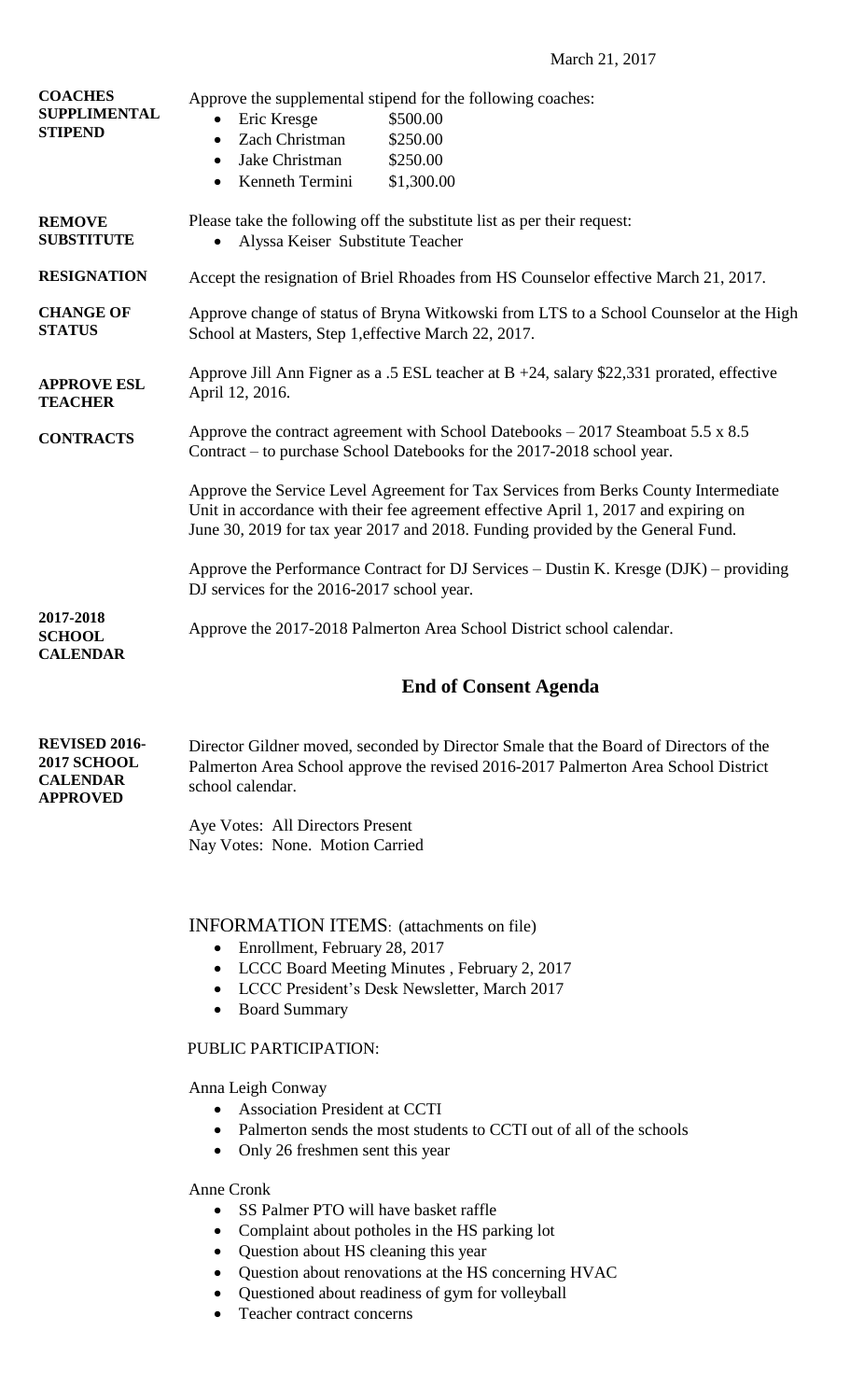March 21, 2017

| <b>SUPPLIMENTAL</b><br><b>STIPEND</b>                                            | Approve the supplemental stipend for the following coaches:<br>Eric Kresge<br>\$500.00<br>Zach Christman<br>\$250.00<br>٠<br>Jake Christman<br>\$250.00<br>Kenneth Termini<br>\$1,300.00<br>$\bullet$                                                                                                                                                                                                                                                                                                                                                              |  |
|----------------------------------------------------------------------------------|--------------------------------------------------------------------------------------------------------------------------------------------------------------------------------------------------------------------------------------------------------------------------------------------------------------------------------------------------------------------------------------------------------------------------------------------------------------------------------------------------------------------------------------------------------------------|--|
| <b>REMOVE</b><br><b>SUBSTITUTE</b>                                               | Please take the following off the substitute list as per their request:<br>Alyssa Keiser Substitute Teacher                                                                                                                                                                                                                                                                                                                                                                                                                                                        |  |
| <b>RESIGNATION</b>                                                               | Accept the resignation of Briel Rhoades from HS Counselor effective March 21, 2017.                                                                                                                                                                                                                                                                                                                                                                                                                                                                                |  |
| <b>CHANGE OF</b><br><b>STATUS</b>                                                | Approve change of status of Bryna Witkowski from LTS to a School Counselor at the High<br>School at Masters, Step 1, effective March 22, 2017.                                                                                                                                                                                                                                                                                                                                                                                                                     |  |
| <b>APPROVE ESL</b><br><b>TEACHER</b>                                             | Approve Jill Ann Figner as a .5 ESL teacher at $B + 24$ , salary \$22,331 prorated, effective<br>April 12, 2016.                                                                                                                                                                                                                                                                                                                                                                                                                                                   |  |
| <b>CONTRACTS</b>                                                                 | Approve the contract agreement with School Datebooks $-2017$ Steamboat 5.5 x 8.5<br>Contract – to purchase School Datebooks for the 2017-2018 school year.<br>Approve the Service Level Agreement for Tax Services from Berks County Intermediate<br>Unit in accordance with their fee agreement effective April 1, 2017 and expiring on<br>June 30, 2019 for tax year 2017 and 2018. Funding provided by the General Fund.<br>Approve the Performance Contract for DJ Services – Dustin K. Kresge (DJK) – providing<br>DJ services for the 2016-2017 school year. |  |
|                                                                                  |                                                                                                                                                                                                                                                                                                                                                                                                                                                                                                                                                                    |  |
|                                                                                  |                                                                                                                                                                                                                                                                                                                                                                                                                                                                                                                                                                    |  |
| 2017-2018<br><b>SCHOOL</b><br><b>CALENDAR</b>                                    | Approve the 2017-2018 Palmerton Area School District school calendar.                                                                                                                                                                                                                                                                                                                                                                                                                                                                                              |  |
|                                                                                  | <b>End of Consent Agenda</b>                                                                                                                                                                                                                                                                                                                                                                                                                                                                                                                                       |  |
| <b>REVISED 2016-</b><br><b>2017 SCHOOL</b><br><b>CALENDAR</b><br><b>APPROVED</b> | Director Gildner moved, seconded by Director Smale that the Board of Directors of the<br>Palmerton Area School approve the revised 2016-2017 Palmerton Area School District<br>school calendar.                                                                                                                                                                                                                                                                                                                                                                    |  |
|                                                                                  | Aye Votes: All Directors Present<br>Nay Votes: None. Motion Carried                                                                                                                                                                                                                                                                                                                                                                                                                                                                                                |  |
|                                                                                  |                                                                                                                                                                                                                                                                                                                                                                                                                                                                                                                                                                    |  |
|                                                                                  | <b>INFORMATION ITEMS:</b> (attachments on file)<br>Enrollment, February 28, 2017<br>$\bullet$<br>LCCC Board Meeting Minutes, February 2, 2017<br>$\bullet$<br>LCCC President's Desk Newsletter, March 2017<br>$\bullet$<br><b>Board Summary</b><br>٠                                                                                                                                                                                                                                                                                                               |  |
|                                                                                  | PUBLIC PARTICIPATION:                                                                                                                                                                                                                                                                                                                                                                                                                                                                                                                                              |  |
|                                                                                  | Anna Leigh Conway<br>• Association President at CCTI<br>• Palmerton sends the most students to CCTI out of all of the schools<br>Only 26 freshmen sent this year<br>$\bullet$                                                                                                                                                                                                                                                                                                                                                                                      |  |